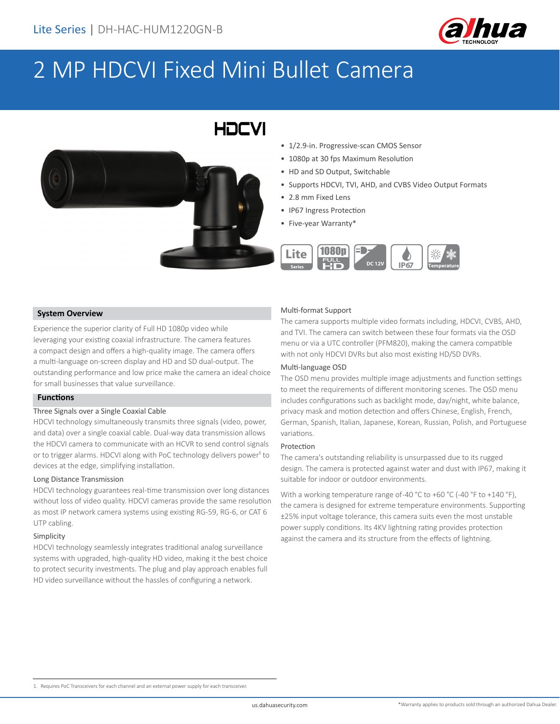

# 2 MP HDCVI Fixed Mini Bullet Camera

## HOCVI



- 1/2.9-in. Progressive-scan CMOS Sensor
- 1080p at 30 fps Maximum Resolution
- HD and SD Output, Switchable
- Supports HDCVI, TVI, AHD, and CVBS Video Output Formats
- 2.8 mm Fixed Lens
- IP67 Ingress Protection
- Five-year Warranty\*



#### **System Overview**

Experience the superior clarity of Full HD 1080p video while leveraging your existing coaxial infrastructure. The camera features a compact design and offers a high-quality image. The camera offers a multi-language on-screen display and HD and SD dual-output. The outstanding performance and low price make the camera an ideal choice for small businesses that value surveillance.

#### **Functions**

#### Three Signals over a Single Coaxial Cable

HDCVI technology simultaneously transmits three signals (video, power, and data) over a single coaxial cable. Dual-way data transmission allows the HDCVI camera to communicate with an HCVR to send control signals or to trigger alarms. HDCVI along with PoC technology delivers power<sup>1</sup> to devices at the edge, simplifying installation.

#### Long Distance Transmission

HDCVI technology guarantees real-time transmission over long distances without loss of video quality. HDCVI cameras provide the same resolution as most IP network camera systems using existing RG-59, RG-6, or CAT 6 UTP cabling.

#### Simplicity

HDCVI technology seamlessly integrates traditional analog surveillance systems with upgraded, high-quality HD video, making it the best choice to protect security investments. The plug and play approach enables full HD video surveillance without the hassles of configuring a network.

#### Multi-format Support

The camera supports multiple video formats including, HDCVI, CVBS, AHD, and TVI. The camera can switch between these four formats via the OSD menu or via a UTC controller (PFM820), making the camera compatible with not only HDCVI DVRs but also most existing HD/SD DVRs.

#### Multi-language OSD

The OSD menu provides multiple image adjustments and function settings to meet the requirements of different monitoring scenes. The OSD menu includes configurations such as backlight mode, day/night, white balance, privacy mask and motion detection and offers Chinese, English, French, German, Spanish, Italian, Japanese, Korean, Russian, Polish, and Portuguese variations.

#### Protection

The camera's outstanding reliability is unsurpassed due to its rugged design. The camera is protected against water and dust with IP67, making it suitable for indoor or outdoor environments.

With a working temperature range of-40 °C to +60 °C (-40 °F to +140 °F), the camera is designed for extreme temperature environments. Supporting ±25% input voltage tolerance, this camera suits even the most unstable power supply conditions. Its 4KV lightning rating provides protection against the camera and its structure from the effects of lightning.

1. Requires PoC Transceivers for each channel and an external power supply for each transceiver.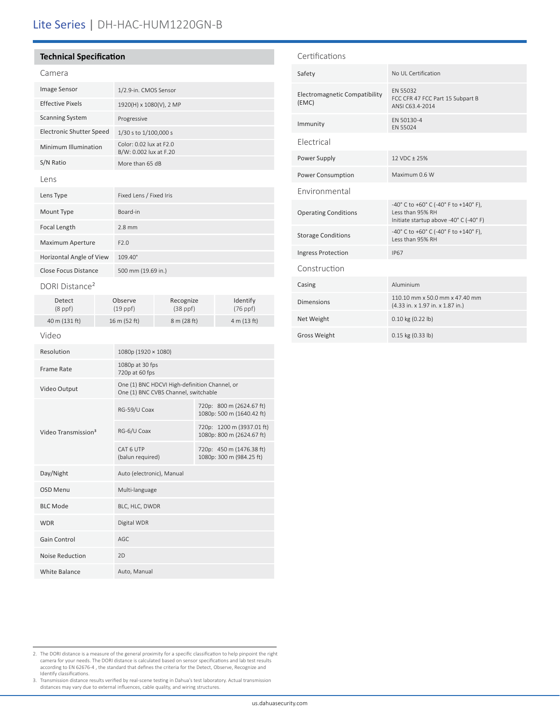## Lite Series | DH-HAC-HUM1220GN-B

#### **Technical Specification**

|--|--|

| <b>Image Sensor</b>             | 1/2.9-in. CMOS Sensor                             |
|---------------------------------|---------------------------------------------------|
| <b>Effective Pixels</b>         | 1920(H) x 1080(V), 2 MP                           |
| <b>Scanning System</b>          | Progressive                                       |
| <b>Electronic Shutter Speed</b> | 1/30 s to 1/100,000 s                             |
| Minimum Illumination            | Color: 0.02 lux at F2.0<br>B/W: 0.002 lux at F.20 |
| S/N Ratio                       | More than 65 dB                                   |
| Lens                            |                                                   |
| Lens Type                       | Fixed Lens / Fixed Iris                           |
| Mount Type                      | Board-in                                          |
| Focal Length                    | $2.8$ mm                                          |
| <b>Maximum Aperture</b>         | F2.0                                              |
| Horizontal Angle of View        | $109.40^{\circ}$                                  |
| Close Focus Distance            | 500 mm (19.69 in.)                                |
|                                 |                                                   |

DORI Distance<sup>2</sup>

| Detect        | Observe      | Recognize   | Identify    |
|---------------|--------------|-------------|-------------|
| $(8$ ppf $)$  | $(19$ ppf)   | $(38$ ppf)  | $(76$ ppf)  |
| 40 m (131 ft) | 16 m (52 ft) | 8 m (28 ft) | 4 m (13 ft) |

#### Video

| Resolution                      | 1080p (1920 × 1080)                                                                   |                                                        |
|---------------------------------|---------------------------------------------------------------------------------------|--------------------------------------------------------|
| Frame Rate                      | 1080p at 30 fps<br>720p at 60 fps                                                     |                                                        |
| Video Output                    | One (1) BNC HDCVI High-definition Channel, or<br>One (1) BNC CVBS Channel, switchable |                                                        |
| Video Transmission <sup>3</sup> | RG-59/U Coax                                                                          | 720p: 800 m (2624.67 ft)<br>1080p: 500 m (1640.42 ft)  |
|                                 | RG-6/U Coax                                                                           | 720p: 1200 m (3937.01 ft)<br>1080p: 800 m (2624.67 ft) |
|                                 | CAT 6 UTP<br>(balun required)                                                         | 720p: 450 m (1476.38 ft)<br>1080p: 300 m (984.25 ft)   |
| Day/Night                       | Auto (electronic), Manual                                                             |                                                        |
| OSD Menu                        | Multi-language                                                                        |                                                        |
| <b>BLC Mode</b>                 | BLC, HLC, DWDR                                                                        |                                                        |
| <b>WDR</b>                      | Digital WDR                                                                           |                                                        |
| Gain Control                    | AGC                                                                                   |                                                        |
| Noise Reduction                 | 2D                                                                                    |                                                        |
| White Balance                   | Auto, Manual                                                                          |                                                        |

#### Certifications

| Safety                                        | No UL Certification                                                                                 |  |  |
|-----------------------------------------------|-----------------------------------------------------------------------------------------------------|--|--|
| <b>Electromagnetic Compatibility</b><br>(EMC) | EN 55032<br>FCC CFR 47 FCC Part 15 Subpart B<br>ANSI C63.4-2014                                     |  |  |
| Immunity                                      | FN 50130-4<br>FN 55024                                                                              |  |  |
| Flectrical                                    |                                                                                                     |  |  |
| Power Supply                                  | 12 VDC ± 25%                                                                                        |  |  |
| <b>Power Consumption</b>                      | Maximum 0.6 W                                                                                       |  |  |
| Fnvironmental                                 |                                                                                                     |  |  |
| <b>Operating Conditions</b>                   | -40° C to +60° C (-40° F to +140° F),<br>Less than 95% RH<br>Initiate startup above -40° C (-40° F) |  |  |
| <b>Storage Conditions</b>                     | -40° C to +60° C (-40° F to +140° F),<br>Less than 95% RH                                           |  |  |
| <b>Ingress Protection</b>                     | <b>IP67</b>                                                                                         |  |  |
| Construction                                  |                                                                                                     |  |  |
| Casing                                        | Aluminium                                                                                           |  |  |
| <b>Dimensions</b>                             | 110.10 mm x 50.0 mm x 47.40 mm<br>(4.33 in. x 1.97 in. x 1.87 in.)                                  |  |  |
| Net Weight                                    | 0.10 kg (0.22 lb)                                                                                   |  |  |
| <b>Gross Weight</b>                           | 0.15 kg (0.33 lb)                                                                                   |  |  |

- 2. The DORI distance is a measure of the general proximity for a specific classification to help pinpoint the right<br>camera for your needs. The DORI distance is calculated based on sensor specifications and lab test results
- 3. Transmission distance results verified by real-scene testing in Dahua's test laboratory. Actual transmission distances may vary due to external influences, cable quality, and wiring structures.